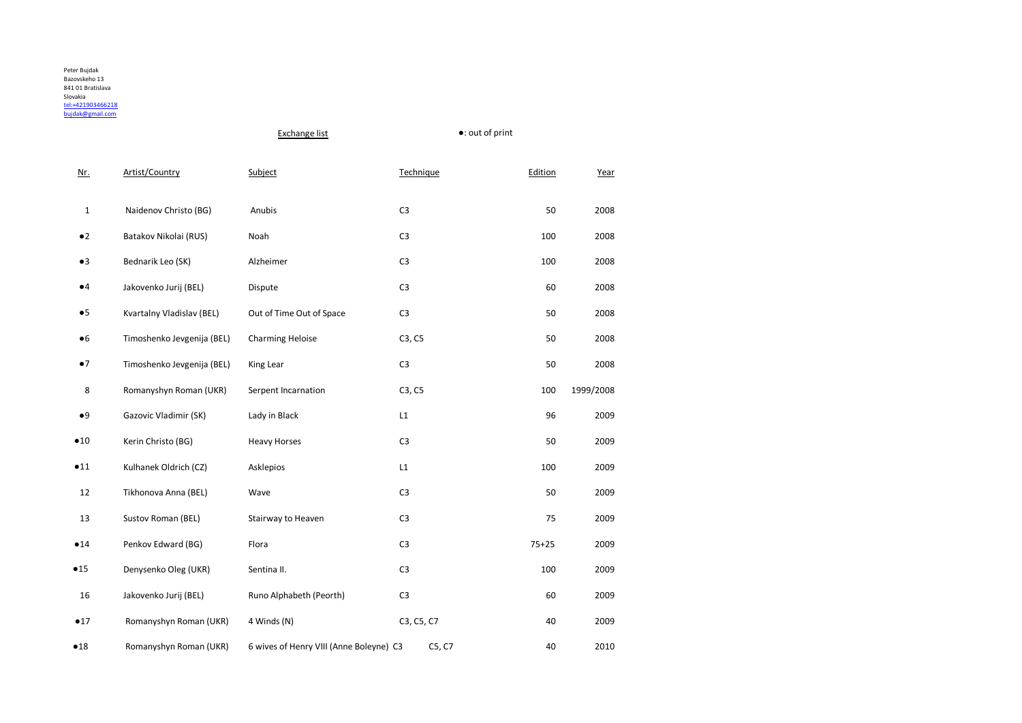|              |                            | <b>Exchange list</b>                    |                | ●: out of print |           |  |
|--------------|----------------------------|-----------------------------------------|----------------|-----------------|-----------|--|
| Nr.          | Artist/Country             | Subject                                 | Technique      | Edition         | Year      |  |
| $\mathbf{1}$ | Naidenov Christo (BG)      | Anubis                                  | C <sub>3</sub> | 50              | 2008      |  |
| $\bullet 2$  | Batakov Nikolai (RUS)      | Noah                                    | C <sub>3</sub> | 100             | 2008      |  |
| •3           | Bednarik Leo (SK)          | Alzheimer                               | C <sub>3</sub> | 100             | 2008      |  |
| $\bullet 4$  | Jakovenko Jurij (BEL)      | Dispute                                 | C <sub>3</sub> | 60              | 2008      |  |
| •5           | Kvartalny Vladislav (BEL)  | Out of Time Out of Space                | C <sub>3</sub> | 50              | 2008      |  |
| •6           | Timoshenko Jevgenija (BEL) | Charming Heloise                        | C3, C5         | 50              | 2008      |  |
| $\bullet$ 7  | Timoshenko Jevgenija (BEL) | King Lear                               | C <sub>3</sub> | 50              | 2008      |  |
| 8            | Romanyshyn Roman (UKR)     | Serpent Incarnation                     | C3, C5         | 100             | 1999/2008 |  |
| •9           | Gazovic Vladimir (SK)      | Lady in Black                           | L1             | 96              | 2009      |  |
| •10          | Kerin Christo (BG)         | <b>Heavy Horses</b>                     | C <sub>3</sub> | 50              | 2009      |  |
| •11          | Kulhanek Oldrich (CZ)      | Asklepios                               | L1             | 100             | 2009      |  |
| 12           | Tikhonova Anna (BEL)       | Wave                                    | C <sub>3</sub> | 50              | 2009      |  |
| 13           | Sustov Roman (BEL)         | Stairway to Heaven                      | C <sub>3</sub> | 75              | 2009      |  |
| •14          | Penkov Edward (BG)         | Flora                                   | C <sub>3</sub> | $75 + 25$       | 2009      |  |
| •15          | Denysenko Oleg (UKR)       | Sentina II.                             | C <sub>3</sub> | 100             | 2009      |  |
| 16           | Jakovenko Jurij (BEL)      | Runo Alphabeth (Peorth)                 | C <sub>3</sub> | 60              | 2009      |  |
| •17          | Romanyshyn Roman (UKR)     | 4 Winds (N)                             | C3, C5, C7     | 40              | 2009      |  |
| •18          | Romanyshyn Roman (UKR)     | 6 wives of Henry VIII (Anne Boleyne) C3 | C5, C7         | 40              | 2010      |  |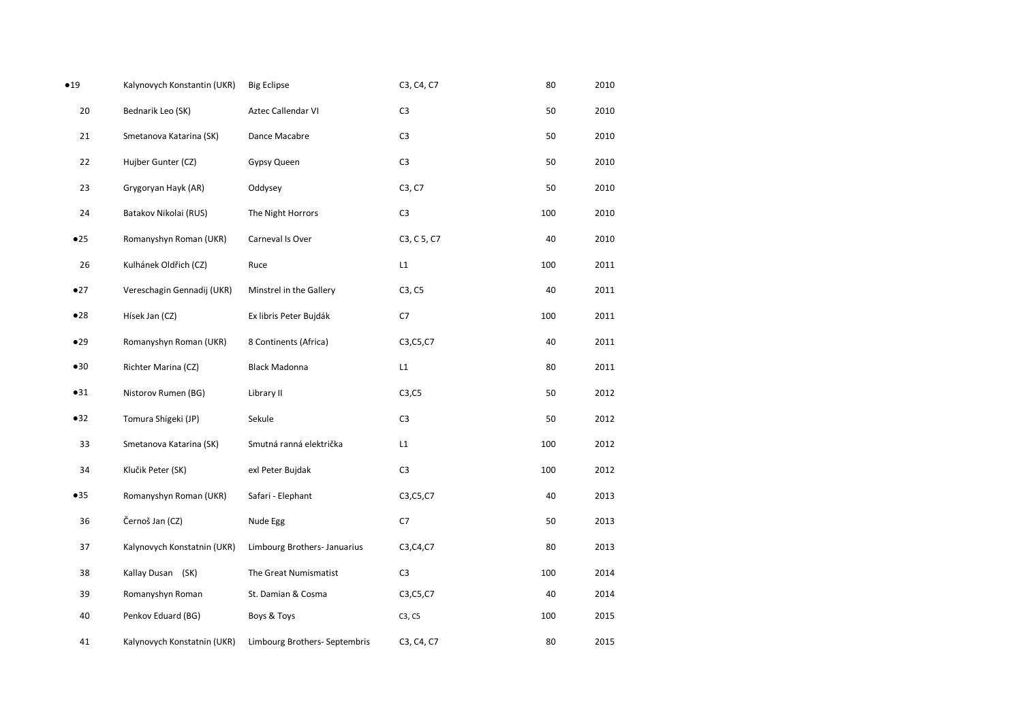| •19 | Kalynovych Konstantin (UKR) | <b>Big Eclipse</b>            | C3, C4, C7              | 80  | 2010 |
|-----|-----------------------------|-------------------------------|-------------------------|-----|------|
| 20  | Bednarik Leo (SK)           | Aztec Callendar VI            | C <sub>3</sub>          | 50  | 2010 |
| 21  | Smetanova Katarina (SK)     | Dance Macabre                 | C <sub>3</sub>          | 50  | 2010 |
| 22  | Hujber Gunter (CZ)          | Gypsy Queen                   | C <sub>3</sub>          | 50  | 2010 |
| 23  | Grygoryan Hayk (AR)         | Oddysey                       | C3, C7                  | 50  | 2010 |
| 24  | Batakov Nikolai (RUS)       | The Night Horrors             | C <sub>3</sub>          | 100 | 2010 |
| •25 | Romanyshyn Roman (UKR)      | Carneval Is Over              | C3, C 5, C7             | 40  | 2010 |
| 26  | Kulhánek Oldřich (CZ)       | Ruce                          | $\mathsf{L} \mathsf{1}$ | 100 | 2011 |
| •27 | Vereschagin Gennadij (UKR)  | Minstrel in the Gallery       | C3, C5                  | 40  | 2011 |
| •28 | Hísek Jan (CZ)              | Ex libris Peter Bujdák        | C7                      | 100 | 2011 |
| •29 | Romanyshyn Roman (UKR)      | 8 Continents (Africa)         | C3, C5, C7              | 40  | 2011 |
| •30 | Richter Marina (CZ)         | <b>Black Madonna</b>          | $\mathsf{L} \mathsf{1}$ | 80  | 2011 |
| •31 | Nistorov Rumen (BG)         | Library II                    | C3, C5                  | 50  | 2012 |
| •32 | Tomura Shigeki (JP)         | Sekule                        | C <sub>3</sub>          | 50  | 2012 |
| 33  | Smetanova Katarina (SK)     | Smutná ranná električka       | L1                      | 100 | 2012 |
| 34  | Klučik Peter (SK)           | exl Peter Bujdak              | C <sub>3</sub>          | 100 | 2012 |
| •35 | Romanyshyn Roman (UKR)      | Safari - Elephant             | C3, C5, C7              | 40  | 2013 |
| 36  | Černoš Jan (CZ)             | Nude Egg                      | C7                      | 50  | 2013 |
| 37  | Kalynovych Konstatnin (UKR) | Limbourg Brothers- Januarius  | C3, C4, C7              | 80  | 2013 |
| 38  | Kallay Dusan (SK)           | The Great Numismatist         | C <sub>3</sub>          | 100 | 2014 |
| 39  | Romanyshyn Roman            | St. Damian & Cosma            | C3, C5, C7              | 40  | 2014 |
| 40  | Penkov Eduard (BG)          | Boys & Toys                   | C3, C5                  | 100 | 2015 |
| 41  | Kalynovych Konstatnin (UKR) | Limbourg Brothers- Septembris | C3, C4, C7              | 80  | 2015 |